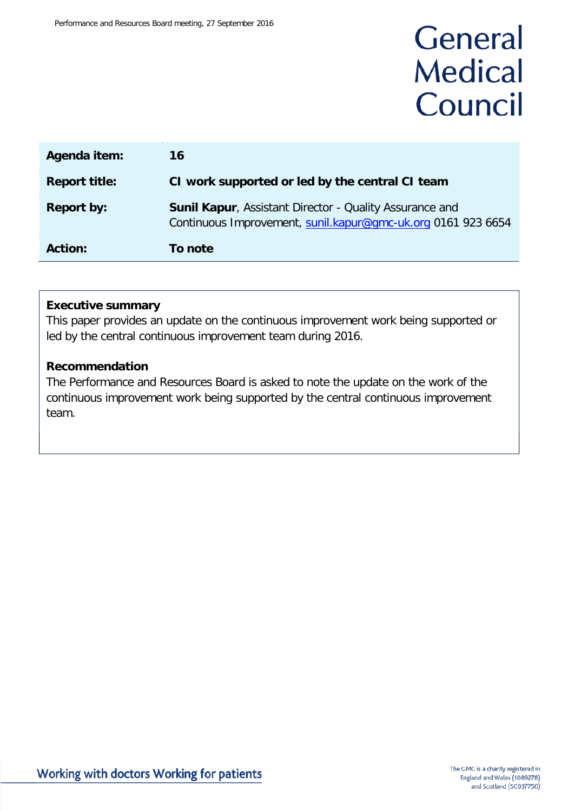# General **Medical** Council

| Agenda item:         | 16                                                                                                                             |
|----------------------|--------------------------------------------------------------------------------------------------------------------------------|
| <b>Report title:</b> | CI work supported or led by the central CI team                                                                                |
| <b>Report by:</b>    | <b>Sunil Kapur, Assistant Director - Quality Assurance and</b><br>Continuous Improvement, sunil.kapur@gmc-uk.org 0161 923 6654 |
| <b>Action:</b>       | To note                                                                                                                        |

#### **Executive summary**

This paper provides an update on the continuous improvement work being supported or led by the central continuous improvement team during 2016.

#### **Recommendation**

The Performance and Resources Board is asked to note the update on the work of the continuous improvement work being supported by the central continuous improvement team.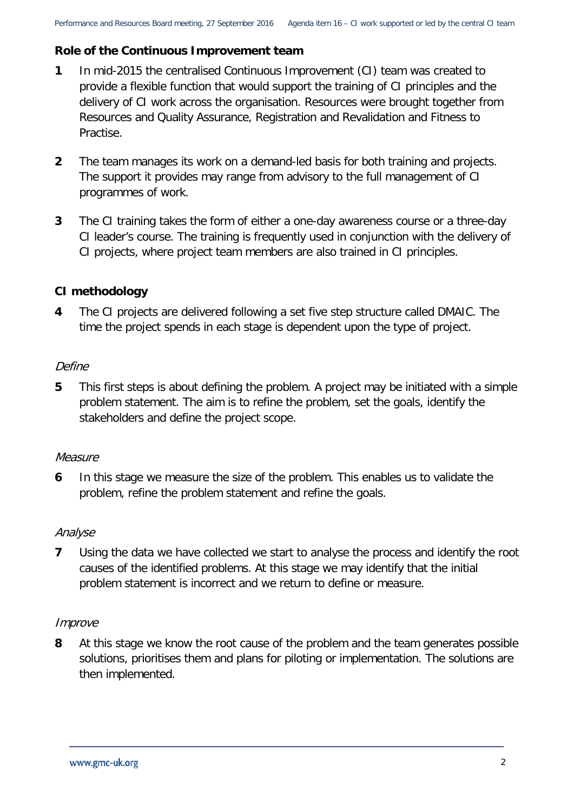# **Role of the Continuous Improvement team**

- **1** In mid-2015 the centralised Continuous Improvement (CI) team was created to provide a flexible function that would support the training of CI principles and the delivery of CI work across the organisation. Resources were brought together from Resources and Quality Assurance, Registration and Revalidation and Fitness to Practise.
- **2** The team manages its work on a demand-led basis for both training and projects. The support it provides may range from advisory to the full management of CI programmes of work.
- **3** The CI training takes the form of either a one-day awareness course or a three-day CI leader's course. The training is frequently used in conjunction with the delivery of CI projects, where project team members are also trained in CI principles.

# **CI methodology**

**4** The CI projects are delivered following a set five step structure called DMAIC. The time the project spends in each stage is dependent upon the type of project.

# Define

**5** This first steps is about defining the problem. A project may be initiated with a simple problem statement. The aim is to refine the problem, set the goals, identify the stakeholders and define the project scope.

# **Measure**

**6** In this stage we measure the size of the problem. This enables us to validate the problem, refine the problem statement and refine the goals.

# Analyse

**7** Using the data we have collected we start to analyse the process and identify the root causes of the identified problems. At this stage we may identify that the initial problem statement is incorrect and we return to define or measure.

#### Improve

**8** At this stage we know the root cause of the problem and the team generates possible solutions, prioritises them and plans for piloting or implementation. The solutions are then implemented.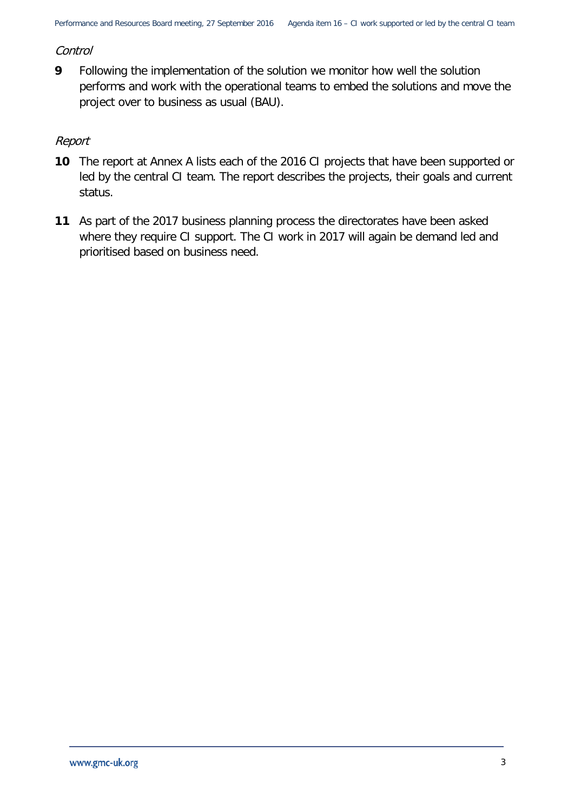#### **Control**

**9** Following the implementation of the solution we monitor how well the solution performs and work with the operational teams to embed the solutions and move the project over to business as usual (BAU).

## Report

- **10** The report at Annex A lists each of the 2016 CI projects that have been supported or led by the central CI team. The report describes the projects, their goals and current status.
- **11** As part of the 2017 business planning process the directorates have been asked where they require CI support. The CI work in 2017 will again be demand led and prioritised based on business need.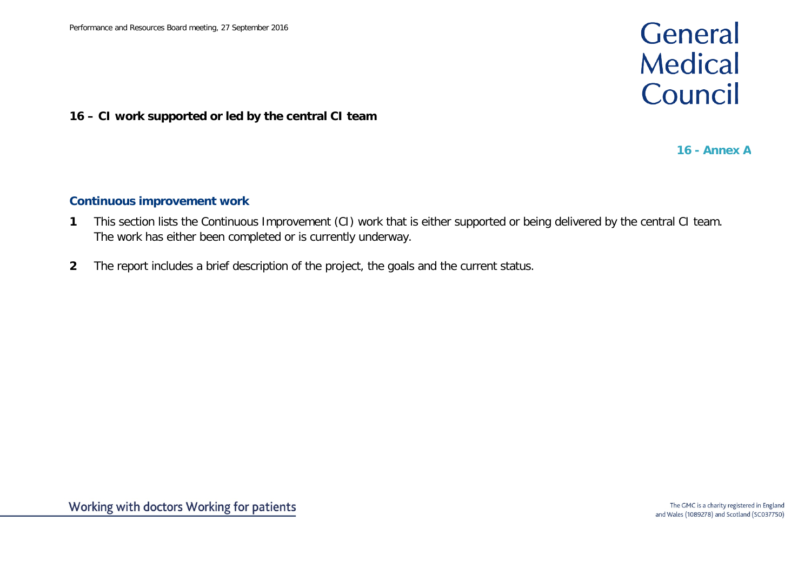# General **Medical** Council

## **16 – CI work supported or led by the central CI team**

**16 - Annex A**

## **Continuous improvement work**

- **1** This section lists the Continuous Improvement (CI) work that is either supported or being delivered by the central CI team. The work has either been completed or is currently underway.
- **2** The report includes a brief description of the project, the goals and the current status.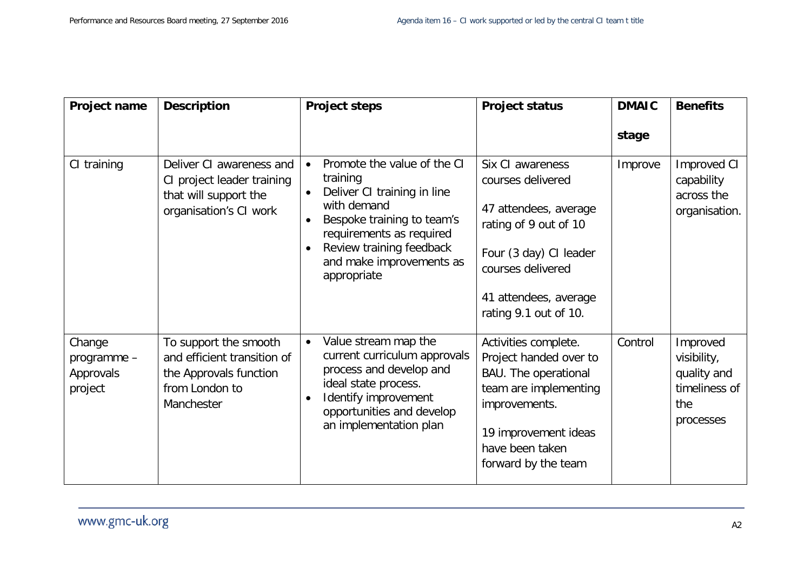| Project name                                  | <b>Description</b>                                                                                             | <b>Project steps</b>                                                                                                                                                                                                   | <b>Project status</b>                                                                                                                                                                     | <b>DMAIC</b> | <b>Benefits</b>                                                             |
|-----------------------------------------------|----------------------------------------------------------------------------------------------------------------|------------------------------------------------------------------------------------------------------------------------------------------------------------------------------------------------------------------------|-------------------------------------------------------------------------------------------------------------------------------------------------------------------------------------------|--------------|-----------------------------------------------------------------------------|
|                                               |                                                                                                                |                                                                                                                                                                                                                        |                                                                                                                                                                                           | stage        |                                                                             |
| CI training                                   | Deliver CI awareness and<br>CI project leader training<br>that will support the<br>organisation's CI work      | Promote the value of the CI<br>training<br>Deliver CI training in line<br>with demand<br>Bespoke training to team's<br>requirements as required<br>Review training feedback<br>and make improvements as<br>appropriate | Six CI awareness<br>courses delivered<br>47 attendees, average<br>rating of 9 out of 10<br>Four (3 day) CI leader<br>courses delivered<br>41 attendees, average<br>rating 9.1 out of 10.  | Improve      | Improved CI<br>capability<br>across the<br>organisation.                    |
| Change<br>programme -<br>Approvals<br>project | To support the smooth<br>and efficient transition of<br>the Approvals function<br>from London to<br>Manchester | Value stream map the<br>current curriculum approvals<br>process and develop and<br>ideal state process.<br>Identify improvement<br>opportunities and develop<br>an implementation plan                                 | Activities complete.<br>Project handed over to<br><b>BAU.</b> The operational<br>team are implementing<br>improvements.<br>19 improvement ideas<br>have been taken<br>forward by the team | Control      | Improved<br>visibility,<br>quality and<br>timeliness of<br>the<br>processes |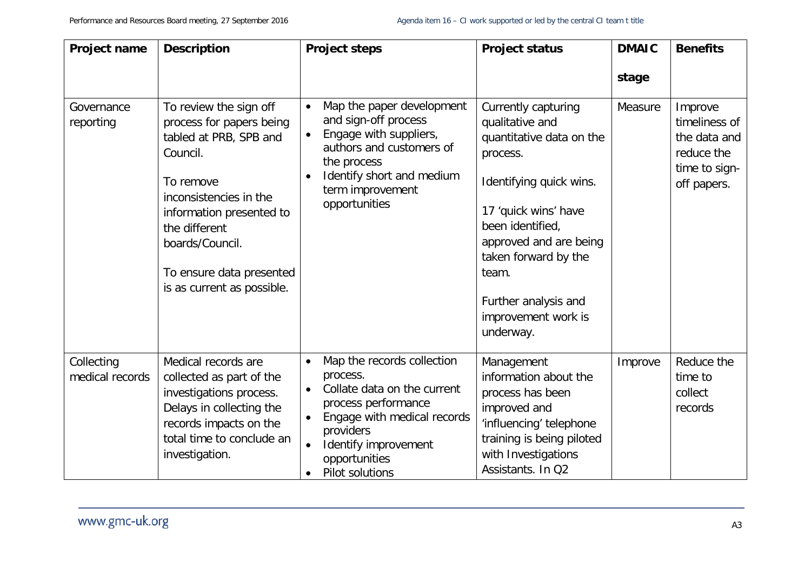| Project name                  | <b>Description</b>                                                                                                                                                                                                                                        | <b>Project steps</b>                                                                                                                                                                                                           | <b>Project status</b>                                                                                                                                                                                                                                                        | <b>DMAIC</b> | <b>Benefits</b>                                                                        |
|-------------------------------|-----------------------------------------------------------------------------------------------------------------------------------------------------------------------------------------------------------------------------------------------------------|--------------------------------------------------------------------------------------------------------------------------------------------------------------------------------------------------------------------------------|------------------------------------------------------------------------------------------------------------------------------------------------------------------------------------------------------------------------------------------------------------------------------|--------------|----------------------------------------------------------------------------------------|
|                               |                                                                                                                                                                                                                                                           |                                                                                                                                                                                                                                |                                                                                                                                                                                                                                                                              | stage        |                                                                                        |
| Governance<br>reporting       | To review the sign off<br>process for papers being<br>tabled at PRB, SPB and<br>Council.<br>To remove<br>inconsistencies in the<br>information presented to<br>the different<br>boards/Council.<br>To ensure data presented<br>is as current as possible. | Map the paper development<br>$\bullet$<br>and sign-off process<br>Engage with suppliers,<br>$\bullet$<br>authors and customers of<br>the process<br>Identify short and medium<br>term improvement<br>opportunities             | Currently capturing<br>qualitative and<br>quantitative data on the<br>process.<br>Identifying quick wins.<br>17 'quick wins' have<br>been identified,<br>approved and are being<br>taken forward by the<br>team.<br>Further analysis and<br>improvement work is<br>underway. | Measure      | Improve<br>timeliness of<br>the data and<br>reduce the<br>time to sign-<br>off papers. |
| Collecting<br>medical records | Medical records are<br>collected as part of the<br>investigations process.<br>Delays in collecting the<br>records impacts on the<br>total time to conclude an<br>investigation.                                                                           | Map the records collection<br>$\bullet$<br>process.<br>Collate data on the current<br>$\bullet$<br>process performance<br>Engage with medical records<br>providers<br>Identify improvement<br>opportunities<br>Pilot solutions | Management<br>information about the<br>process has been<br>improved and<br>'influencing' telephone<br>training is being piloted<br>with Investigations<br>Assistants. In Q2                                                                                                  | Improve      | Reduce the<br>time to<br>collect<br>records                                            |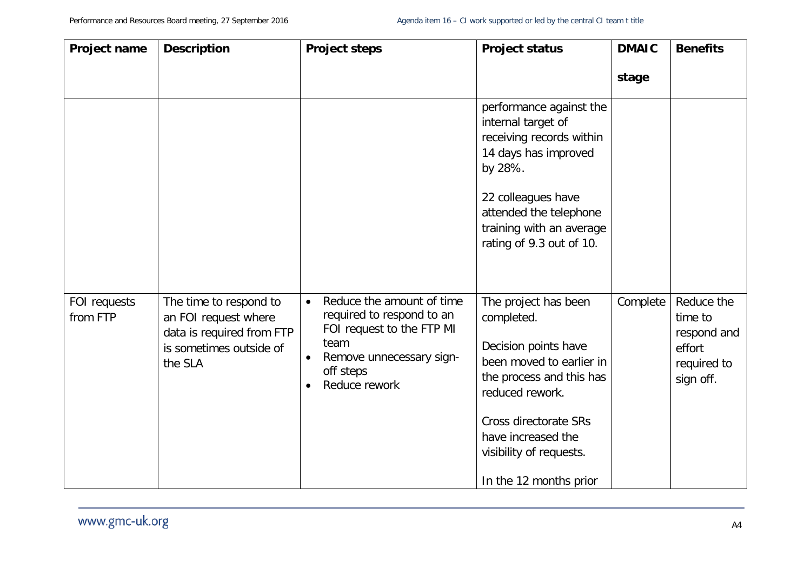| Project name             | <b>Description</b>                                                                                                | <b>Project steps</b>                                                                                                                                                                         | <b>Project status</b>                                                                                                                                                                                                                     | <b>DMAIC</b> | <b>Benefits</b>                                                            |
|--------------------------|-------------------------------------------------------------------------------------------------------------------|----------------------------------------------------------------------------------------------------------------------------------------------------------------------------------------------|-------------------------------------------------------------------------------------------------------------------------------------------------------------------------------------------------------------------------------------------|--------------|----------------------------------------------------------------------------|
|                          |                                                                                                                   |                                                                                                                                                                                              |                                                                                                                                                                                                                                           | stage        |                                                                            |
|                          |                                                                                                                   |                                                                                                                                                                                              | performance against the<br>internal target of<br>receiving records within<br>14 days has improved<br>by 28%.<br>22 colleagues have<br>attended the telephone<br>training with an average<br>rating of 9.3 out of 10.                      |              |                                                                            |
| FOI requests<br>from FTP | The time to respond to<br>an FOI request where<br>data is required from FTP<br>is sometimes outside of<br>the SLA | Reduce the amount of time<br>$\bullet$<br>required to respond to an<br>FOI request to the FTP MI<br>team<br>Remove unnecessary sign-<br>$\bullet$<br>off steps<br>Reduce rework<br>$\bullet$ | The project has been<br>completed.<br>Decision points have<br>been moved to earlier in<br>the process and this has<br>reduced rework.<br>Cross directorate SRs<br>have increased the<br>visibility of requests.<br>In the 12 months prior | Complete     | Reduce the<br>time to<br>respond and<br>effort<br>required to<br>sign off. |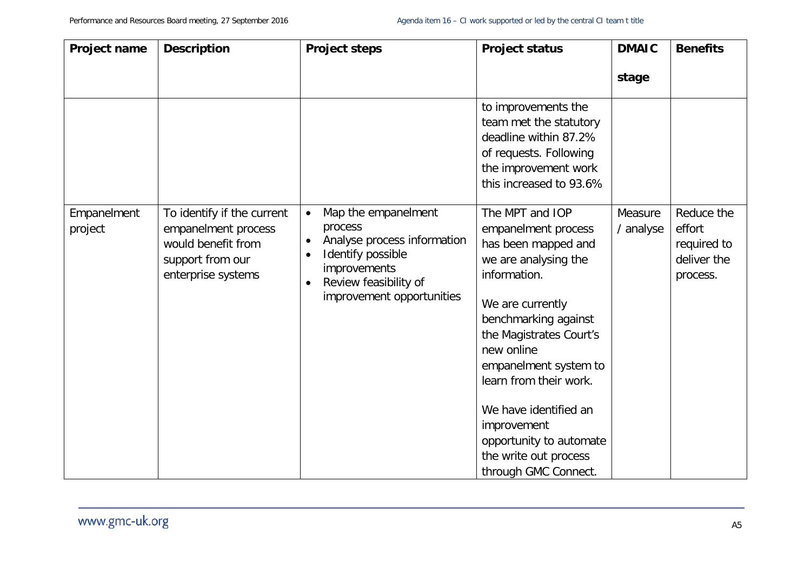| Project name           | <b>Description</b>                                                                                                | <b>Project steps</b>                                                                                                                                                                            | <b>Project status</b>                                                                                                                                                                                                                                                                                                                                             | <b>DMAIC</b>         | <b>Benefits</b>                                                |
|------------------------|-------------------------------------------------------------------------------------------------------------------|-------------------------------------------------------------------------------------------------------------------------------------------------------------------------------------------------|-------------------------------------------------------------------------------------------------------------------------------------------------------------------------------------------------------------------------------------------------------------------------------------------------------------------------------------------------------------------|----------------------|----------------------------------------------------------------|
|                        |                                                                                                                   |                                                                                                                                                                                                 |                                                                                                                                                                                                                                                                                                                                                                   | stage                |                                                                |
|                        |                                                                                                                   |                                                                                                                                                                                                 | to improvements the<br>team met the statutory<br>deadline within 87.2%<br>of requests. Following<br>the improvement work<br>this increased to 93.6%                                                                                                                                                                                                               |                      |                                                                |
| Empanelment<br>project | To identify if the current<br>empanelment process<br>would benefit from<br>support from our<br>enterprise systems | Map the empanelment<br>$\bullet$<br>process<br>Analyse process information<br>$\bullet$<br>Identify possible<br>improvements<br>Review feasibility of<br>$\bullet$<br>improvement opportunities | The MPT and IOP<br>empanelment process<br>has been mapped and<br>we are analysing the<br>information.<br>We are currently<br>benchmarking against<br>the Magistrates Court's<br>new online<br>empanelment system to<br>learn from their work.<br>We have identified an<br>improvement<br>opportunity to automate<br>the write out process<br>through GMC Connect. | Measure<br>/ analyse | Reduce the<br>effort<br>required to<br>deliver the<br>process. |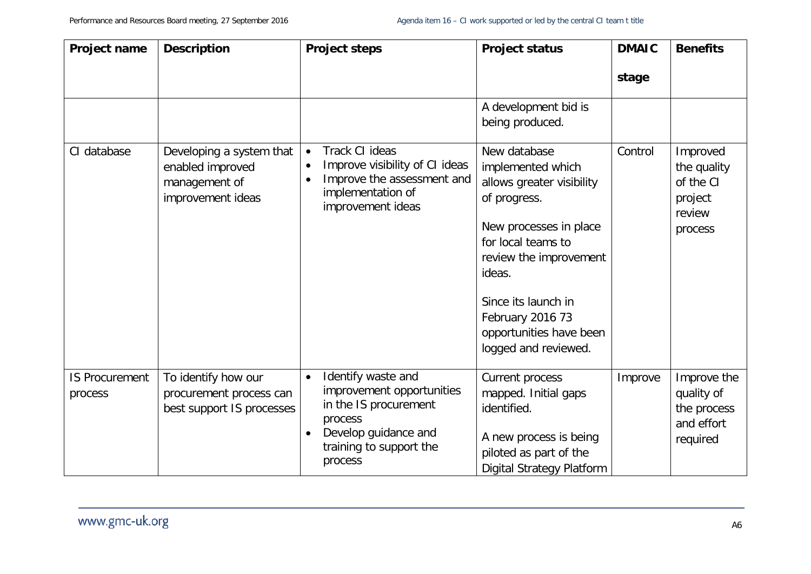| Project name                     | <b>Description</b>                                                                 | <b>Project steps</b>                                                                                                                                           | <b>Project status</b>                                                                                                                                                                                                                                            | <b>DMAIC</b> | <b>Benefits</b>                                                      |
|----------------------------------|------------------------------------------------------------------------------------|----------------------------------------------------------------------------------------------------------------------------------------------------------------|------------------------------------------------------------------------------------------------------------------------------------------------------------------------------------------------------------------------------------------------------------------|--------------|----------------------------------------------------------------------|
|                                  |                                                                                    |                                                                                                                                                                |                                                                                                                                                                                                                                                                  | stage        |                                                                      |
|                                  |                                                                                    |                                                                                                                                                                | A development bid is<br>being produced.                                                                                                                                                                                                                          |              |                                                                      |
| CI database                      | Developing a system that<br>enabled improved<br>management of<br>improvement ideas | Track CI ideas<br>Improve visibility of CI ideas<br>Improve the assessment and<br>implementation of<br>improvement ideas                                       | New database<br>implemented which<br>allows greater visibility<br>of progress.<br>New processes in place<br>for local teams to<br>review the improvement<br>ideas.<br>Since its launch in<br>February 2016 73<br>opportunities have been<br>logged and reviewed. | Control      | Improved<br>the quality<br>of the CI<br>project<br>review<br>process |
| <b>IS Procurement</b><br>process | To identify how our<br>procurement process can<br>best support IS processes        | Identify waste and<br>$\bullet$<br>improvement opportunities<br>in the IS procurement<br>process<br>Develop guidance and<br>training to support the<br>process | Current process<br>mapped. Initial gaps<br>identified.<br>A new process is being<br>piloted as part of the<br><b>Digital Strategy Platform</b>                                                                                                                   | Improve      | Improve the<br>quality of<br>the process<br>and effort<br>required   |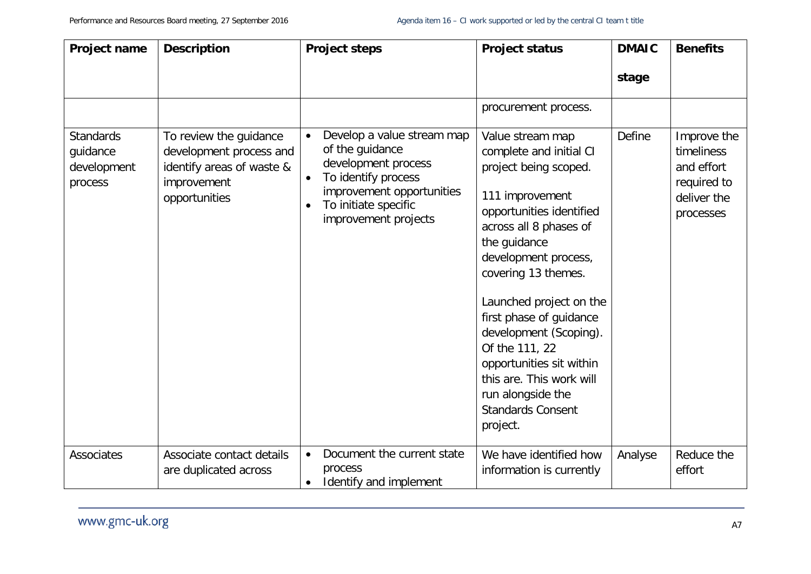| Project name                                           | <b>Description</b>                                                                                             | <b>Project steps</b>                                                                                                                                                                               | <b>Project status</b>                                                                                                                                                                                                                                                                                                                                                                                                               | <b>DMAIC</b>  | <b>Benefits</b>                                                                    |
|--------------------------------------------------------|----------------------------------------------------------------------------------------------------------------|----------------------------------------------------------------------------------------------------------------------------------------------------------------------------------------------------|-------------------------------------------------------------------------------------------------------------------------------------------------------------------------------------------------------------------------------------------------------------------------------------------------------------------------------------------------------------------------------------------------------------------------------------|---------------|------------------------------------------------------------------------------------|
|                                                        |                                                                                                                |                                                                                                                                                                                                    |                                                                                                                                                                                                                                                                                                                                                                                                                                     | stage         |                                                                                    |
|                                                        |                                                                                                                |                                                                                                                                                                                                    | procurement process.                                                                                                                                                                                                                                                                                                                                                                                                                |               |                                                                                    |
| <b>Standards</b><br>guidance<br>development<br>process | To review the guidance<br>development process and<br>identify areas of waste &<br>improvement<br>opportunities | Develop a value stream map<br>$\bullet$<br>of the guidance<br>development process<br>To identify process<br>$\bullet$<br>improvement opportunities<br>To initiate specific<br>improvement projects | Value stream map<br>complete and initial CI<br>project being scoped.<br>111 improvement<br>opportunities identified<br>across all 8 phases of<br>the guidance<br>development process,<br>covering 13 themes.<br>Launched project on the<br>first phase of guidance<br>development (Scoping).<br>Of the 111, 22<br>opportunities sit within<br>this are. This work will<br>run alongside the<br><b>Standards Consent</b><br>project. | <b>Define</b> | Improve the<br>timeliness<br>and effort<br>required to<br>deliver the<br>processes |
| Associates                                             | Associate contact details<br>are duplicated across                                                             | Document the current state<br>$\bullet$<br>process<br>Identify and implement<br>$\bullet$                                                                                                          | We have identified how<br>information is currently                                                                                                                                                                                                                                                                                                                                                                                  | Analyse       | Reduce the<br>effort                                                               |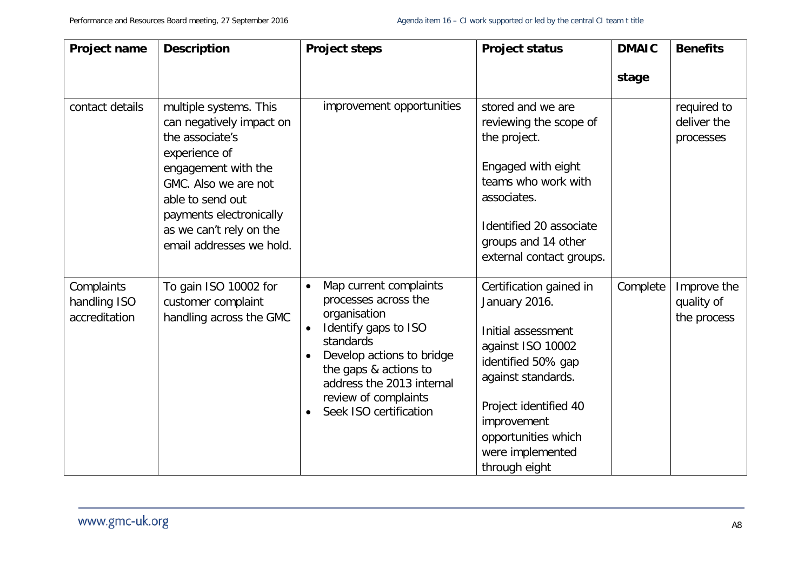| Project name                                | <b>Description</b>                                                                                                                                                                                                                          | <b>Project steps</b>                                                                                                                                                                                                                                                            | <b>Project status</b>                                                                                                                                                                                                               | <b>DMAIC</b> | <b>Benefits</b>                          |
|---------------------------------------------|---------------------------------------------------------------------------------------------------------------------------------------------------------------------------------------------------------------------------------------------|---------------------------------------------------------------------------------------------------------------------------------------------------------------------------------------------------------------------------------------------------------------------------------|-------------------------------------------------------------------------------------------------------------------------------------------------------------------------------------------------------------------------------------|--------------|------------------------------------------|
|                                             |                                                                                                                                                                                                                                             |                                                                                                                                                                                                                                                                                 |                                                                                                                                                                                                                                     | stage        |                                          |
| contact details                             | multiple systems. This<br>can negatively impact on<br>the associate's<br>experience of<br>engagement with the<br>GMC. Also we are not<br>able to send out<br>payments electronically<br>as we can't rely on the<br>email addresses we hold. | improvement opportunities                                                                                                                                                                                                                                                       | stored and we are<br>reviewing the scope of<br>the project.<br>Engaged with eight<br>teams who work with<br>associates.<br>Identified 20 associate<br>groups and 14 other<br>external contact groups.                               |              | required to<br>deliver the<br>processes  |
| Complaints<br>handling ISO<br>accreditation | To gain ISO 10002 for<br>customer complaint<br>handling across the GMC                                                                                                                                                                      | Map current complaints<br>$\bullet$<br>processes across the<br>organisation<br>Identify gaps to ISO<br>$\bullet$<br>standards<br>Develop actions to bridge<br>the gaps & actions to<br>address the 2013 internal<br>review of complaints<br>Seek ISO certification<br>$\bullet$ | Certification gained in<br>January 2016.<br>Initial assessment<br>against ISO 10002<br>identified 50% gap<br>against standards.<br>Project identified 40<br>improvement<br>opportunities which<br>were implemented<br>through eight | Complete     | Improve the<br>quality of<br>the process |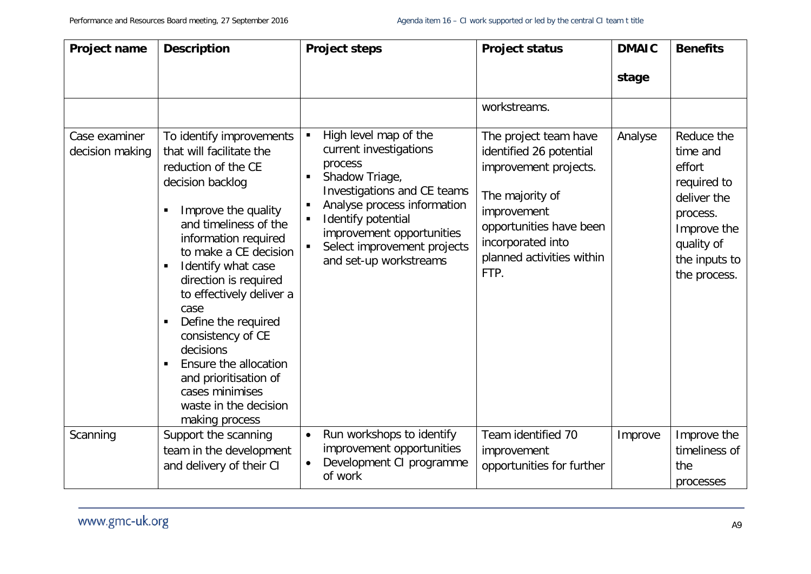| <b>Project name</b>              | <b>Description</b>                                                                                                                                                                                                                                                                                                                                                                                                                                                             | <b>Project steps</b>                                                                                                                                                                                                                                        | <b>Project status</b>                                                                                                                                                                            | <b>DMAIC</b> | <b>Benefits</b>                                                                                                                          |
|----------------------------------|--------------------------------------------------------------------------------------------------------------------------------------------------------------------------------------------------------------------------------------------------------------------------------------------------------------------------------------------------------------------------------------------------------------------------------------------------------------------------------|-------------------------------------------------------------------------------------------------------------------------------------------------------------------------------------------------------------------------------------------------------------|--------------------------------------------------------------------------------------------------------------------------------------------------------------------------------------------------|--------------|------------------------------------------------------------------------------------------------------------------------------------------|
|                                  |                                                                                                                                                                                                                                                                                                                                                                                                                                                                                |                                                                                                                                                                                                                                                             |                                                                                                                                                                                                  | stage        |                                                                                                                                          |
|                                  |                                                                                                                                                                                                                                                                                                                                                                                                                                                                                |                                                                                                                                                                                                                                                             | workstreams.                                                                                                                                                                                     |              |                                                                                                                                          |
| Case examiner<br>decision making | To identify improvements<br>that will facilitate the<br>reduction of the CE<br>decision backlog<br>Improve the quality<br>and timeliness of the<br>information required<br>to make a CE decision<br>Identify what case<br>$\blacksquare$<br>direction is required<br>to effectively deliver a<br>case<br>Define the required<br>consistency of CE<br>decisions<br>Ensure the allocation<br>and prioritisation of<br>cases minimises<br>waste in the decision<br>making process | High level map of the<br>current investigations<br>process<br>Shadow Triage,<br>Investigations and CE teams<br>Analyse process information<br>Identify potential<br>п<br>improvement opportunities<br>Select improvement projects<br>and set-up workstreams | The project team have<br>identified 26 potential<br>improvement projects.<br>The majority of<br>improvement<br>opportunities have been<br>incorporated into<br>planned activities within<br>FTP. | Analyse      | Reduce the<br>time and<br>effort<br>required to<br>deliver the<br>process.<br>Improve the<br>quality of<br>the inputs to<br>the process. |
| Scanning                         | Support the scanning<br>team in the development<br>and delivery of their CI                                                                                                                                                                                                                                                                                                                                                                                                    | Run workshops to identify<br>$\bullet$<br>improvement opportunities<br>Development CI programme<br>of work                                                                                                                                                  | Team identified 70<br>improvement<br>opportunities for further                                                                                                                                   | Improve      | Improve the<br>timeliness of<br>the<br>processes                                                                                         |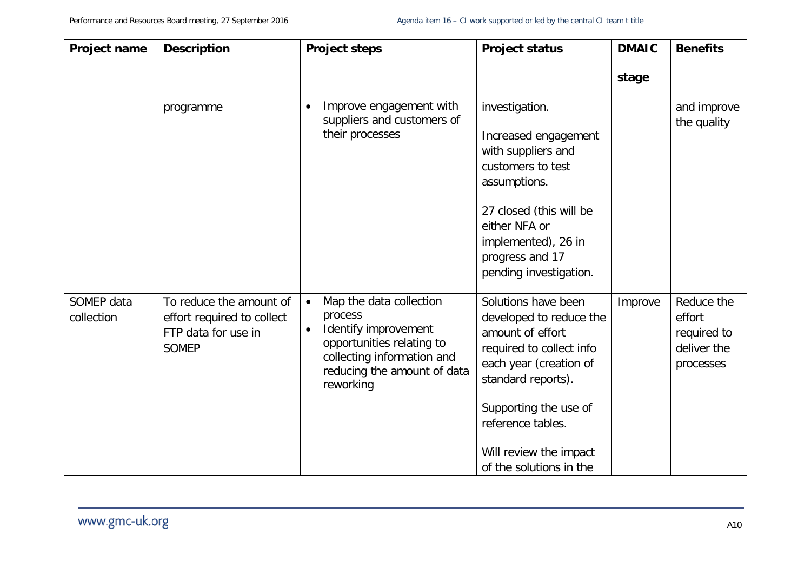| Project name             | <b>Description</b>                                                                           | <b>Project steps</b>                                                                                                                                                                        | <b>Project status</b>                                                                                                                                                                                                                             | <b>DMAIC</b> | <b>Benefits</b>                                                 |
|--------------------------|----------------------------------------------------------------------------------------------|---------------------------------------------------------------------------------------------------------------------------------------------------------------------------------------------|---------------------------------------------------------------------------------------------------------------------------------------------------------------------------------------------------------------------------------------------------|--------------|-----------------------------------------------------------------|
|                          |                                                                                              |                                                                                                                                                                                             |                                                                                                                                                                                                                                                   | stage        |                                                                 |
|                          | programme                                                                                    | Improve engagement with<br>$\bullet$<br>suppliers and customers of<br>their processes                                                                                                       | investigation.<br>Increased engagement<br>with suppliers and<br>customers to test<br>assumptions.<br>27 closed (this will be<br>either NFA or<br>implemented), 26 in<br>progress and 17<br>pending investigation.                                 |              | and improve<br>the quality                                      |
| SOMEP data<br>collection | To reduce the amount of<br>effort required to collect<br>FTP data for use in<br><b>SOMEP</b> | Map the data collection<br>$\bullet$<br>process<br>Identify improvement<br>$\bullet$<br>opportunities relating to<br>collecting information and<br>reducing the amount of data<br>reworking | Solutions have been<br>developed to reduce the<br>amount of effort<br>required to collect info<br>each year (creation of<br>standard reports).<br>Supporting the use of<br>reference tables.<br>Will review the impact<br>of the solutions in the | Improve      | Reduce the<br>effort<br>required to<br>deliver the<br>processes |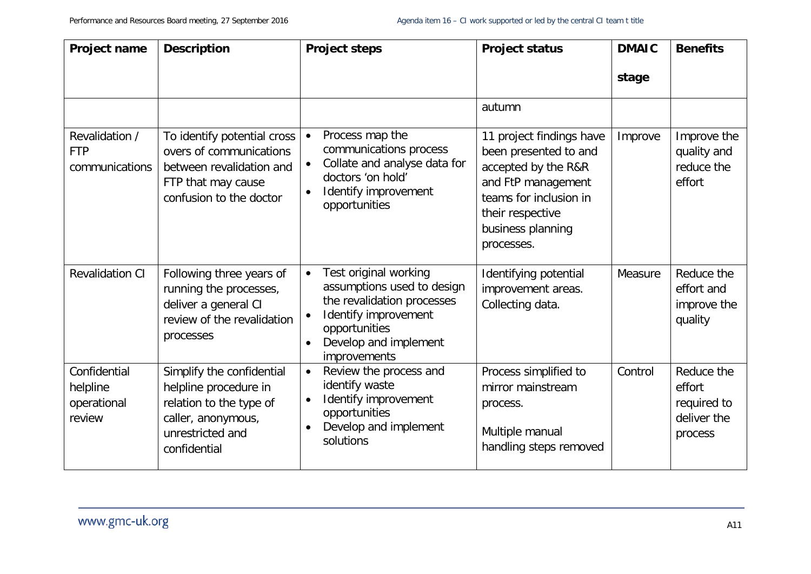| Project name                                      | <b>Description</b>                                                                                                                      | <b>Project steps</b>                                                                                                                                                                                       | <b>Project status</b>                                                                                                                                                           | <b>DMAIC</b> | <b>Benefits</b>                                               |
|---------------------------------------------------|-----------------------------------------------------------------------------------------------------------------------------------------|------------------------------------------------------------------------------------------------------------------------------------------------------------------------------------------------------------|---------------------------------------------------------------------------------------------------------------------------------------------------------------------------------|--------------|---------------------------------------------------------------|
|                                                   |                                                                                                                                         |                                                                                                                                                                                                            |                                                                                                                                                                                 | stage        |                                                               |
|                                                   |                                                                                                                                         |                                                                                                                                                                                                            | autumn                                                                                                                                                                          |              |                                                               |
| Revalidation /<br><b>FTP</b><br>communications    | To identify potential cross<br>overs of communications<br>between revalidation and<br>FTP that may cause<br>confusion to the doctor     | Process map the<br>$\bullet$<br>communications process<br>Collate and analyse data for<br>$\bullet$<br>doctors 'on hold'<br>Identify improvement<br>$\bullet$<br>opportunities                             | 11 project findings have<br>been presented to and<br>accepted by the R&R<br>and FtP management<br>teams for inclusion in<br>their respective<br>business planning<br>processes. | Improve      | Improve the<br>quality and<br>reduce the<br>effort            |
| <b>Revalidation CI</b>                            | Following three years of<br>running the processes,<br>deliver a general CI<br>review of the revalidation<br>processes                   | Test original working<br>$\bullet$<br>assumptions used to design<br>the revalidation processes<br>Identify improvement<br>$\bullet$<br>opportunities<br>Develop and implement<br>$\bullet$<br>improvements | Identifying potential<br>improvement areas.<br>Collecting data.                                                                                                                 | Measure      | Reduce the<br>effort and<br>improve the<br>quality            |
| Confidential<br>helpline<br>operational<br>review | Simplify the confidential<br>helpline procedure in<br>relation to the type of<br>caller, anonymous,<br>unrestricted and<br>confidential | Review the process and<br>$\bullet$<br>identify waste<br>Identify improvement<br>$\bullet$<br>opportunities<br>Develop and implement<br>$\bullet$<br>solutions                                             | Process simplified to<br>mirror mainstream<br>process.<br>Multiple manual<br>handling steps removed                                                                             | Control      | Reduce the<br>effort<br>required to<br>deliver the<br>process |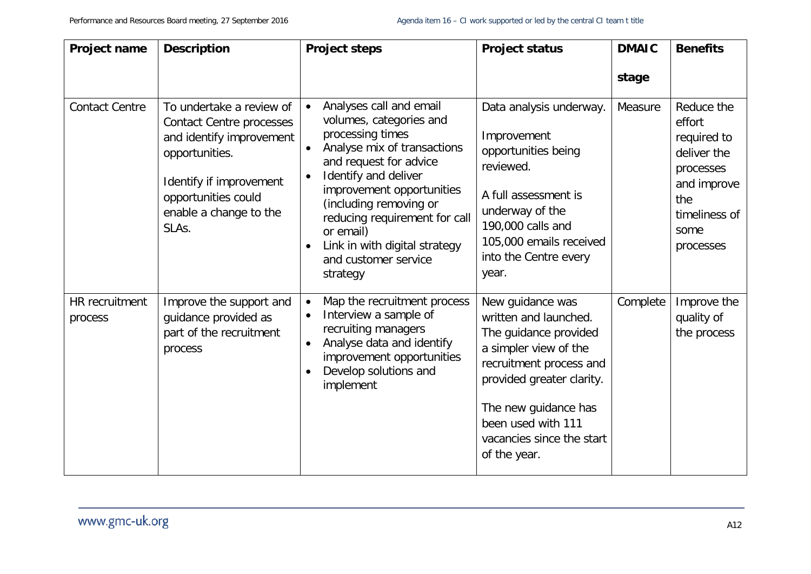| Project name              | <b>Description</b>                                                                                                                                                                             | <b>Project steps</b>                                                                                                                                                                                                                                                                                                                                                     | <b>Project status</b>                                                                                                                                                                                                                          | <b>DMAIC</b> | <b>Benefits</b>                                                                                                             |
|---------------------------|------------------------------------------------------------------------------------------------------------------------------------------------------------------------------------------------|--------------------------------------------------------------------------------------------------------------------------------------------------------------------------------------------------------------------------------------------------------------------------------------------------------------------------------------------------------------------------|------------------------------------------------------------------------------------------------------------------------------------------------------------------------------------------------------------------------------------------------|--------------|-----------------------------------------------------------------------------------------------------------------------------|
|                           |                                                                                                                                                                                                |                                                                                                                                                                                                                                                                                                                                                                          |                                                                                                                                                                                                                                                | stage        |                                                                                                                             |
| <b>Contact Centre</b>     | To undertake a review of<br><b>Contact Centre processes</b><br>and identify improvement<br>opportunities.<br>Identify if improvement<br>opportunities could<br>enable a change to the<br>SLAs. | Analyses call and email<br>$\bullet$<br>volumes, categories and<br>processing times<br>Analyse mix of transactions<br>and request for advice<br>Identify and deliver<br>$\bullet$<br>improvement opportunities<br>(including removing or<br>reducing requirement for call<br>or email)<br>Link in with digital strategy<br>$\bullet$<br>and customer service<br>strategy | Data analysis underway.<br>Improvement<br>opportunities being<br>reviewed.<br>A full assessment is<br>underway of the<br>190,000 calls and<br>105,000 emails received<br>into the Centre every<br>year.                                        | Measure      | Reduce the<br>effort<br>required to<br>deliver the<br>processes<br>and improve<br>the<br>timeliness of<br>some<br>processes |
| HR recruitment<br>process | Improve the support and<br>guidance provided as<br>part of the recruitment<br>process                                                                                                          | Map the recruitment process<br>Interview a sample of<br>recruiting managers<br>Analyse data and identify<br>$\bullet$<br>improvement opportunities<br>Develop solutions and<br>implement                                                                                                                                                                                 | New guidance was<br>written and launched.<br>The guidance provided<br>a simpler view of the<br>recruitment process and<br>provided greater clarity.<br>The new guidance has<br>been used with 111<br>vacancies since the start<br>of the year. | Complete     | Improve the<br>quality of<br>the process                                                                                    |